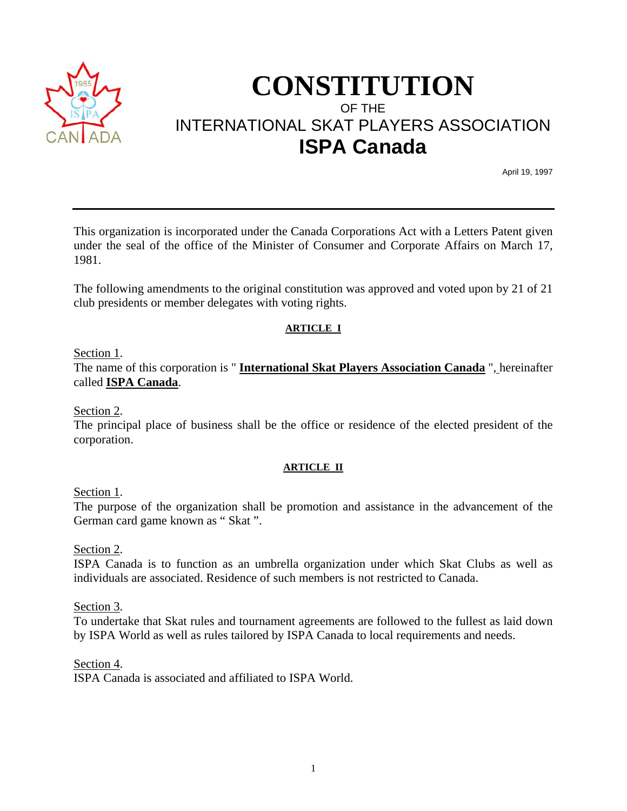

# **CONSTITUTION** OF THE INTERNATIONAL SKAT PLAYERS ASSOCIATION **ISPA Canada**

April 19, 1997

This organization is incorporated under the Canada Corporations Act with a Letters Patent given under the seal of the office of the Minister of Consumer and Corporate Affairs on March 17, 1981.

The following amendments to the original constitution was approved and voted upon by 21 of 21 club presidents or member delegates with voting rights.

## **ARTICLE I**

Section 1.

The name of this corporation is " **International Skat Players Association Canada** ", hereinafter called **ISPA Canada**.

Section 2.

The principal place of business shall be the office or residence of the elected president of the corporation.

## **ARTICLE II**

Section 1.

The purpose of the organization shall be promotion and assistance in the advancement of the German card game known as " Skat ".

Section 2.

ISPA Canada is to function as an umbrella organization under which Skat Clubs as well as individuals are associated. Residence of such members is not restricted to Canada.

Section 3.

To undertake that Skat rules and tournament agreements are followed to the fullest as laid down by ISPA World as well as rules tailored by ISPA Canada to local requirements and needs.

Section 4.

ISPA Canada is associated and affiliated to ISPA World.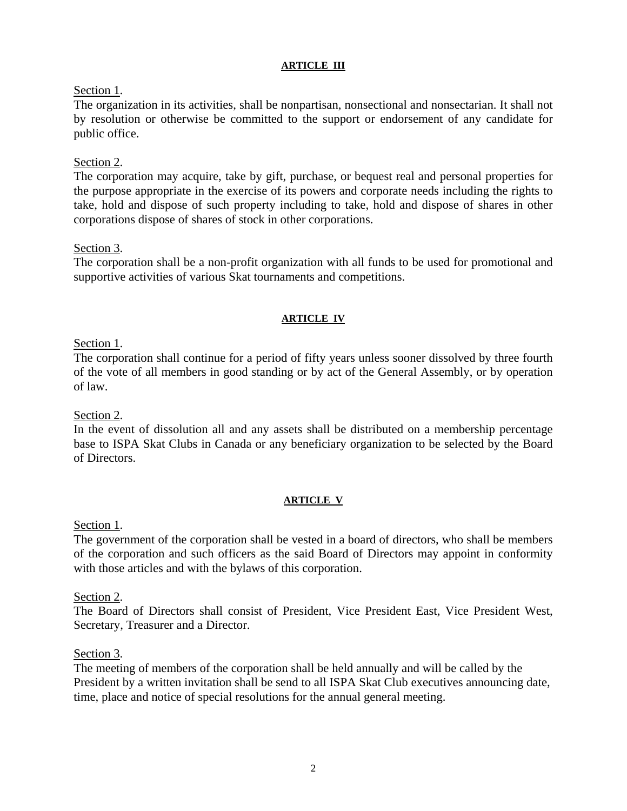#### **ARTICLE III**

# Section 1.

The organization in its activities, shall be nonpartisan, nonsectional and nonsectarian. It shall not by resolution or otherwise be committed to the support or endorsement of any candidate for public office.

# Section 2.

The corporation may acquire, take by gift, purchase, or bequest real and personal properties for the purpose appropriate in the exercise of its powers and corporate needs including the rights to take, hold and dispose of such property including to take, hold and dispose of shares in other corporations dispose of shares of stock in other corporations.

## Section 3.

The corporation shall be a non-profit organization with all funds to be used for promotional and supportive activities of various Skat tournaments and competitions.

#### **ARTICLE IV**

# Section 1.

The corporation shall continue for a period of fifty years unless sooner dissolved by three fourth of the vote of all members in good standing or by act of the General Assembly, or by operation of law.

## Section 2.

In the event of dissolution all and any assets shall be distributed on a membership percentage base to ISPA Skat Clubs in Canada or any beneficiary organization to be selected by the Board of Directors.

## **ARTICLE V**

## Section 1.

The government of the corporation shall be vested in a board of directors, who shall be members of the corporation and such officers as the said Board of Directors may appoint in conformity with those articles and with the bylaws of this corporation.

## Section 2.

The Board of Directors shall consist of President, Vice President East, Vice President West, Secretary, Treasurer and a Director.

## Section 3.

The meeting of members of the corporation shall be held annually and will be called by the President by a written invitation shall be send to all ISPA Skat Club executives announcing date, time, place and notice of special resolutions for the annual general meeting.